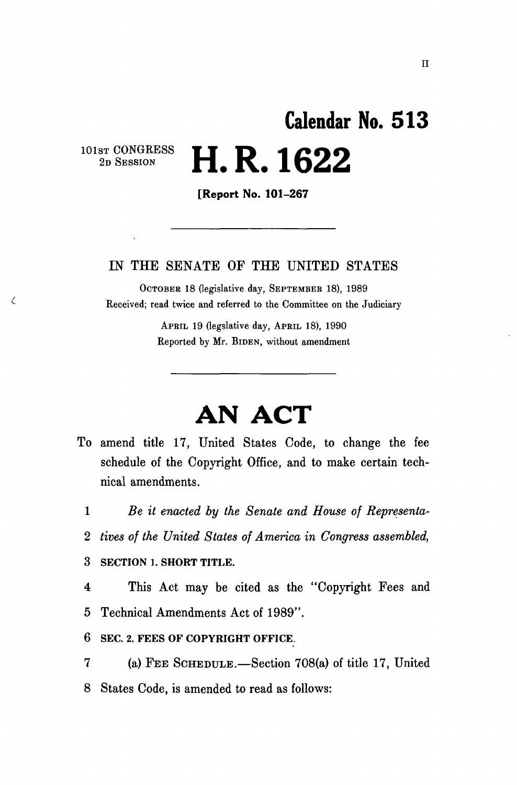## **Calendar No. 51 3**   $\mathbb{S}^{\text{ST CONGRESS}}$  **i d** 1299  $^{2D \text{ SESSION}}$   $\blacksquare$ .  $\blacksquare$ .  $\blacksquare$

 $\zeta$ 

[Report No. 101-267

#### IN THE SENATE OF THE UNITED STATES

OCTOBER 18 (legislative day, SEPTEMBER 18), 1989 Received; read twice and referred to the Committee on the Judiciary

> APRIL 19 (legslative day, APRIL 18), 1990 Reported by Mr. BIDEN, without amendment

# **AN ACT**

- To amend title 17, United States Code, to change the fee schedule of the Copyright Office, and to make certain technical amendments.
	- 1 *Be it enacted by the Senate and House of Representa-*
	- *2 tives of the United States of America in Congress assembled,*

3 **SECTION 1. SHORT TITLE.** 

- 4 This Act may be cited as the "Copyright Fees and 5 Technical Amendments Act of 1989".
- **6 SEC. 2. FEES OF COPYRIGHT OFFICE.**
- 7 (a) FEE SCHEDULE.—Section 708(a) of title 17, United 8 States Code, is amended to read as follows: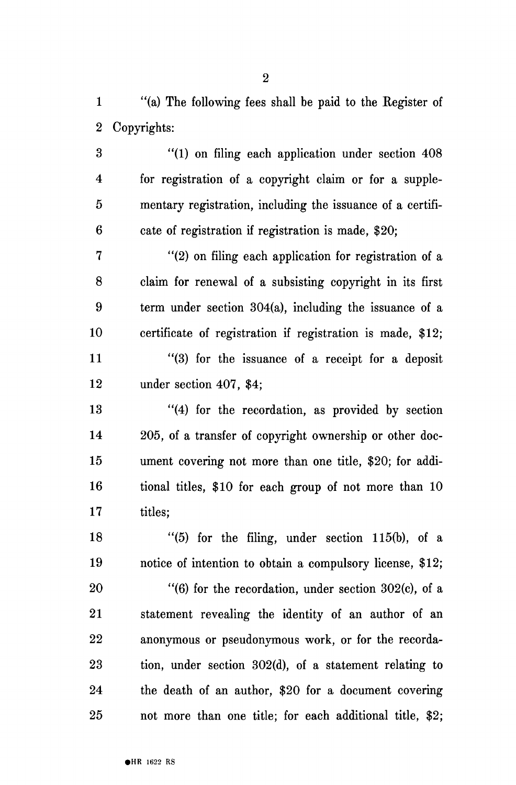1 "(a) The following fees shall be paid to the Register of 2 Copyrights:

3 "(1) on filing each application under section 408 4 for registration of a copyright claim or for a supple-5 mentary registration, including the issuance of a certifi-6 cate of registration if registration is made, \$20;

7 "(2) on filing each application for registration of a 8 claim for renewal of a subsisting copyright in its first 9 term under section 304(a), including the issuance of a 10 certificate of registration if registration is made, \$12; 11 "(3) for the issuance of a receipt for a deposit 12 under section 407, \$4;

13 "(4) for the recordation, as provided by section 14 205, of a transfer of copyright ownership or other doc-15 ument covering not more than one title, \$20; for addi-16 tional titles, \$10 for each group of not more than 10 17 titles:

18  $\frac{16}{5}$  for the filing, under section 115(b), of a 19 notice of intention to obtain a compulsory license, \$12;

 $20$  "(6) for the recordation, under section 302(c), of a 21 statement revealing the identity of an author of an 22 anonymous or pseudonymous work, or for the recorda-23 tion, under section 302(d), of a statement relating to 24 the death of an author, \$20 for a document covering 25 not more than one title; for each additional title, \$2;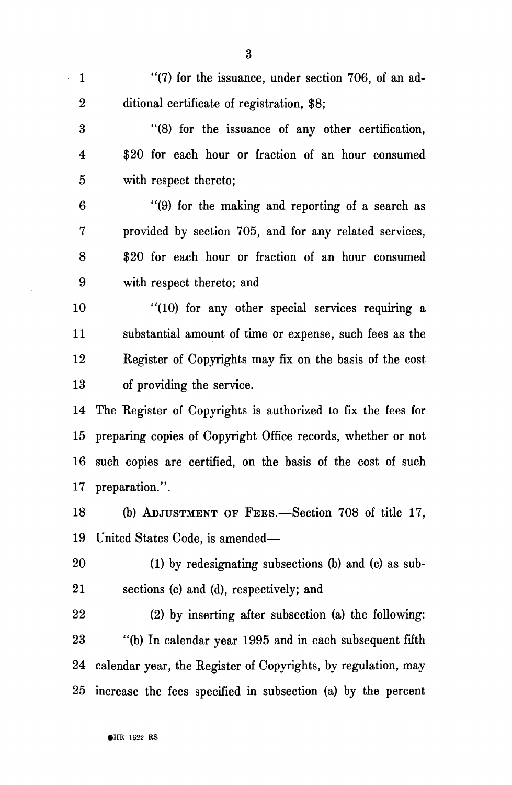1 "(7) for the issuance, under section 706, of an ad-2 ditional certificate of registration, \$8;

3 "(8) for the issuance of any other certification, 4 \$20 for each hour or fraction of an hour consumed 5 with respect thereto;

6 "(9) for the making and reporting of a search as 7 provided by section 705, and for any related services, 8 \$20 for each hour or fraction of an hour consumed 9 with respect thereto; and

10 "(10) for any other special services requiring a 11 substantial amount of time or expense, such fees as the 12 Register of Copyrights may fix on the basis of the cost 13 of providing the service.

14 The Register of Copyrights is authorized to fix the fees for 15 preparing copies of Copyright Office records, whether or not 16 such copies are certified, on the basis of the cost of such 17 preparation.".

18 (b) ADJUSTMENT OF FEES.—Section 708 of title 17, 19 United States Code, is amended—

20 (1) by redesignating subsections (b) and (c) as sub-21 sections (c) and (d), respectively; and

22 (2) by inserting after subsection (a) the following: 23 "(b) In calendar year 1995 and in each subsequent fifth 24 calendar year, the Register of Copyrights, by regulation, may 25 increase the fees specified in subsection (a) by the percent

3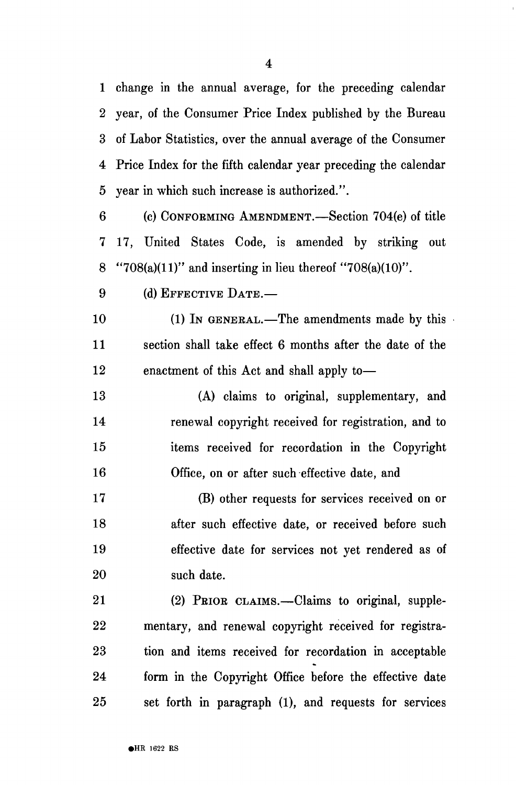1 change in the annual average, for the preceding calendar 2 year, of the Consumer Price Index published by the Bureau 3 of Labor Statistics, over the annual average of the Consumer 4 Price Index for the fifth calendar year preceding the calendar 5 year in which such increase is authorized.".

6 (c) CONFORMING AMENDMENT.—Section 704(e) of title 7 17, United States Code, is amended by striking out 8 "708(a)(11)" and inserting in lieu thereof "708(a)(10)".

9 (d) EFFECTIVE DATE.—

10 (1) In GENERAL.—The amendments made by this 11 section shall take effect 6 months after the date of the 12 enactment of this Act and shall apply to—

13 (A) claims to original, supplementary, and 14 renewal copyright received for registration, and to 15 items received for recordation in the Copyright 16 Office, on or after such effective date, and

17 (B) other requests for services received on or 18 after such effective date, or received before such 19 effective date for services not yet rendered as of 20 such date.

21 (2) PRIOR CLAIMS.—Claims to original, supple-22 mentary, and renewal copyright received for registra-23 tion and items received for recordation in acceptable 24 form in the Copyright Office before the effective date 25 set forth in paragraph (1), and requests for services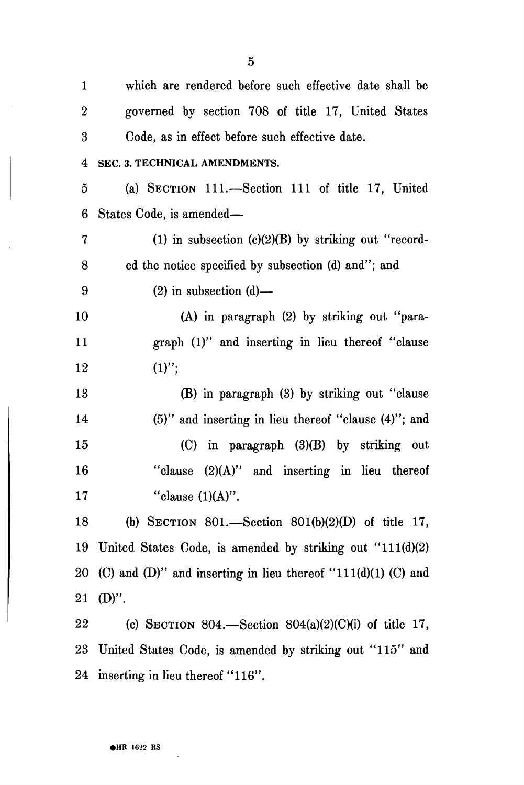| $\mathbf{1}$     | which are rendered before such effective date shall be           |
|------------------|------------------------------------------------------------------|
|                  |                                                                  |
| $\boldsymbol{2}$ | governed by section 708 of title 17, United States               |
| 3                | Code, as in effect before such effective date.                   |
| 4                | SEC. 3. TECHNICAL AMENDMENTS.                                    |
| 5                | (a) SECTION 111.—Section 111 of title 17, United                 |
| 6                | States Code, is amended—                                         |
| $\overline{7}$   | (1) in subsection $(c)(2)(B)$ by striking out "record-           |
| 8                | ed the notice specified by subsection (d) and"; and              |
| 9                | $(2)$ in subsection $(d)$ —                                      |
| 10               | (A) in paragraph (2) by striking out "para-                      |
| 11               | graph (1)" and inserting in lieu thereof "clause                 |
| 12               | $(1)$ ";                                                         |
| $13\,$           | (B) in paragraph (3) by striking out "clause                     |
| 14               | $(5)$ " and inserting in lieu thereof "clause $(4)$ "; and       |
| 15               | (C) in paragraph (3)(B) by striking out                          |
| $16\,$           | "clause (2)(A)" and inserting in lieu thereof                    |
| 17               | "clause $(1)(A)$ ".                                              |
| 18               | (b) SECTION 801.—Section 801(b)(2)(D) of title 17,               |
| 19               | United States Code, is amended by striking out $"111(d)(2)$      |
|                  | 20 (C) and (D)" and inserting in lieu thereof "111(d)(1) (C) and |
| $21\,$           | $(D)$ ".                                                         |
| $22\,$           | (c) SECTION 804.—Section 804(a)(2)(C)(i) of title 17,            |
| 23               | United States Code, is amended by striking out "115" and         |
|                  | 24 inserting in lieu thereof "116".                              |

 $\bar{z}$ 

 $\sim$ 

 $\langle \rangle_{\rm F}$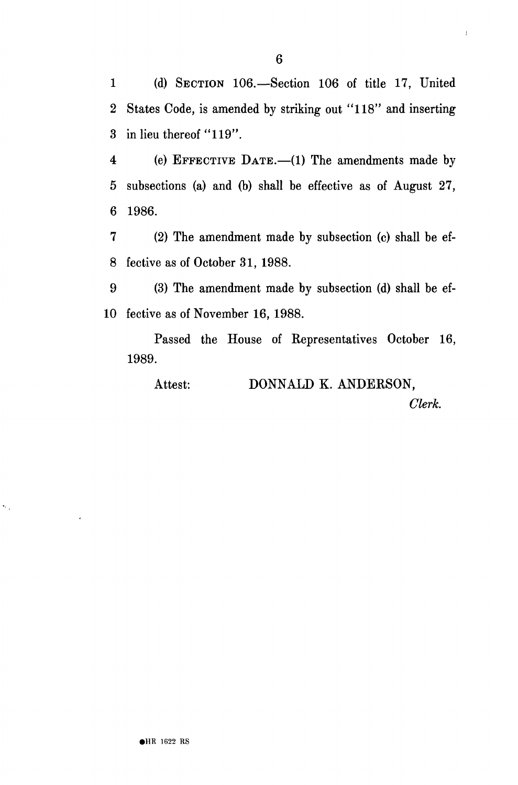1 (d) SECTION 106.—Section 106 of title 17, United 2 States Code, is amended by striking out "118" and inserting 3 in lieu thereof "119".

4 (e) EFFECTIVE DATE.—(1) The amendments made by 5 subsections (a) and (b) shall be effective as of August 27, 6 1986.

7 (2) The amendment made by subsection (c) shall be ef-8 fective as of October 31, 1988.

9 (3) The amendment made by subsection (d) shall be ef-10 fective as of November 16, 1988.

Passed the House of Representatives October 16, 1989.

Attest: DONNALD K. ANDERSON,

*Clerk.* 

 $\mathfrak l$ 

 $\hat{\mathcal{N}}$  .